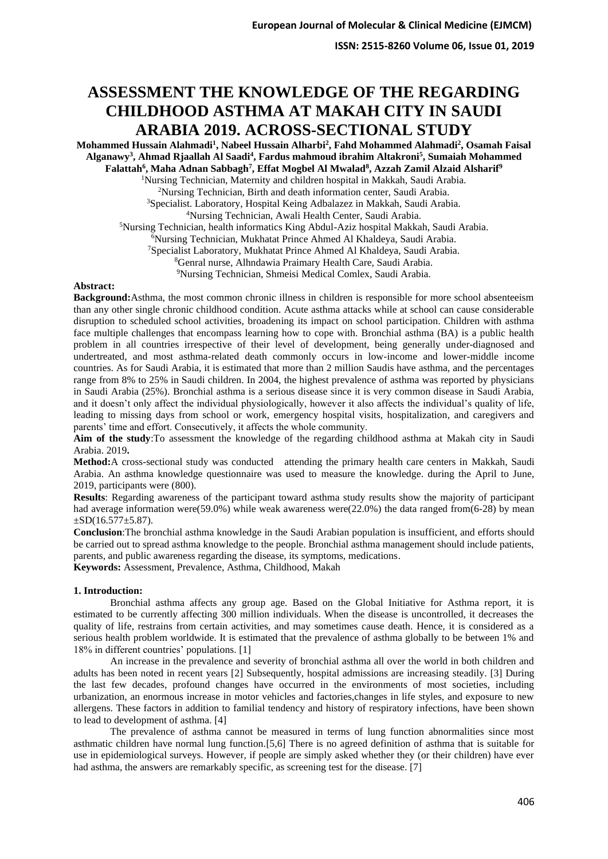# **ASSESSMENT THE KNOWLEDGE OF THE REGARDING CHILDHOOD ASTHMA AT MAKAH CITY IN SAUDI ARABIA 2019. ACROSS-SECTIONAL STUDY**

**Mohammed Hussain Alahmadi<sup>1</sup> , Nabeel Hussain Alharbi<sup>2</sup> , Fahd Mohammed Alahmadi<sup>2</sup> , Osamah Faisal Alganawy<sup>3</sup> , Ahmad Rjaallah Al Saadi<sup>4</sup> , Fardus mahmoud ibrahim Altakroni<sup>5</sup> , Sumaiah Mohammed Falattah<sup>6</sup> , Maha Adnan Sabbagh<sup>7</sup> , Effat Mogbel Al Mwalad<sup>8</sup> , Azzah Zamil Alzaid Alsharif<sup>9</sup>** <sup>1</sup>Nursing Technician, Maternity and children hospital in Makkah, Saudi Arabia. Nursing Technician, Birth and death information center, Saudi Arabia. Specialist. Laboratory, Hospital Keing Adbalazez in Makkah, Saudi Arabia. Nursing Technician, Awali Health Center, Saudi Arabia. Nursing Technician, health informatics King Abdul-Aziz hospital Makkah, Saudi Arabia. Nursing Technician, Mukhatat Prince Ahmed Al Khaldeya, Saudi Arabia. Specialist Laboratory, Mukhatat Prince Ahmed Al Khaldeya, Saudi Arabia. Genral nurse, Alhndawia Praimary Health Care, Saudi Arabia. Nursing Technician, Shmeisi Medical Comlex, Saudi Arabia.

## **Abstract:**

**Background:**Asthma, the most common chronic illness in children is responsible for more school absenteeism than any other single chronic childhood condition. Acute asthma attacks while at school can cause considerable disruption to scheduled school activities, broadening its impact on school participation. Children with asthma face multiple challenges that encompass learning how to cope with. Bronchial asthma (BA) is a public health problem in all countries irrespective of their level of development, being generally under-diagnosed and undertreated, and most asthma-related death commonly occurs in low-income and lower-middle income countries. As for Saudi Arabia, it is estimated that more than 2 million Saudis have asthma, and the percentages range from 8% to 25% in Saudi children. In 2004, the highest prevalence of asthma was reported by physicians in Saudi Arabia (25%). Bronchial asthma is a serious disease since it is very common disease in Saudi Arabia, and it doesn't only affect the individual physiologically, however it also affects the individual's quality of life, leading to missing days from school or work, emergency hospital visits, hospitalization, and caregivers and parents' time and effort. Consecutively, it affects the whole community.

**Aim of the study**:To assessment the knowledge of the regarding childhood asthma at Makah city in Saudi Arabia. 2019**.**

**Method:**A cross-sectional study was conducted attending the primary health care centers in Makkah, Saudi Arabia. An asthma knowledge questionnaire was used to measure the knowledge. during the April to June, 2019, participants were (800).

**Results**: Regarding awareness of the participant toward asthma study results show the majority of participant had average information were(59.0%) while weak awareness were(22.0%) the data ranged from(6-28) by mean  $\pm$ SD(16.577 $\pm$ 5.87).

**Conclusion**:The bronchial asthma knowledge in the Saudi Arabian population is insufficient, and efforts should be carried out to spread asthma knowledge to the people. Bronchial asthma management should include patients, parents, and public awareness regarding the disease, its symptoms, medications. **Keywords:** Assessment, Prevalence, Asthma, Childhood, Makah

# **1. Introduction:**

Bronchial asthma affects any group age. Based on the Global Initiative for Asthma report, it is estimated to be currently affecting 300 million individuals. When the disease is uncontrolled, it decreases the quality of life, restrains from certain activities, and may sometimes cause death. Hence, it is considered as a serious health problem worldwide. It is estimated that the prevalence of asthma globally to be between 1% and 18% in different countries' populations. [1]

An increase in the prevalence and severity of bronchial asthma all over the world in both children and adults has been noted in recent years [2] Subsequently, hospital admissions are increasing steadily. [3] During the last few decades, profound changes have occurred in the environments of most societies, including urbanization, an enormous increase in motor vehicles and factories,changes in life styles, and exposure to new allergens. These factors in addition to familial tendency and history of respiratory infections, have been shown to lead to development of asthma. [4]

The prevalence of asthma cannot be measured in terms of lung function abnormalities since most asthmatic children have normal lung function.[5,6] There is no agreed definition of asthma that is suitable for use in epidemiological surveys. However, if people are simply asked whether they (or their children) have ever had asthma, the answers are remarkably specific, as screening test for the disease. [7]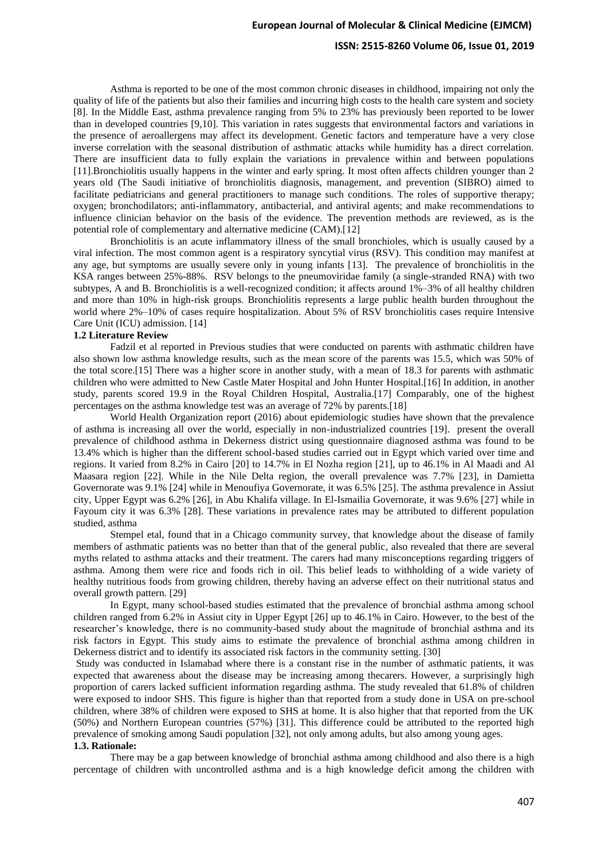### **ISSN: 2515-8260 Volume 06, Issue 01, 2019**

Asthma is reported to be one of the most common chronic diseases in childhood, impairing not only the quality of life of the patients but also their families and incurring high costs to the health care system and society [8]. In the Middle East, asthma prevalence ranging from 5% to 23% has previously been reported to be lower than in developed countries [9,10]. This variation in rates suggests that environmental factors and variations in the presence of aeroallergens may affect its development. Genetic factors and temperature have a very close inverse correlation with the seasonal distribution of asthmatic attacks while humidity has a direct correlation. There are insufficient data to fully explain the variations in prevalence within and between populations [11].Bronchiolitis usually happens in the winter and early spring. It most often affects children younger than 2 years old (The Saudi initiative of bronchiolitis diagnosis, management, and prevention (SIBRO) aimed to facilitate pediatricians and general practitioners to manage such conditions. The roles of supportive therapy; oxygen; bronchodilators; anti-inflammatory, antibacterial, and antiviral agents; and make recommendations to influence clinician behavior on the basis of the evidence. The prevention methods are reviewed, as is the potential role of complementary and alternative medicine (CAM).[12]

Bronchiolitis is an acute inflammatory illness of the small bronchioles, which is usually caused by a viral infection. The most common agent is a respiratory syncytial virus (RSV). This condition may manifest at any age, but symptoms are usually severe only in young infants [13]. The prevalence of bronchiolitis in the KSA ranges between 25%-88%. RSV belongs to the pneumoviridae family (a single-stranded RNA) with two subtypes, A and B. Bronchiolitis is a well-recognized condition; it affects around 1%–3% of all healthy children and more than 10% in high-risk groups. Bronchiolitis represents a large public health burden throughout the world where 2%–10% of cases require hospitalization. About 5% of RSV bronchiolitis cases require Intensive Care Unit (ICU) admission. [14]

# **1.2 Literature Review**

Fadzil et al reported in Previous studies that were conducted on parents with asthmatic children have also shown low asthma knowledge results, such as the mean score of the parents was 15.5, which was 50% of the total score.[15] There was a higher score in another study, with a mean of 18.3 for parents with asthmatic children who were admitted to New Castle Mater Hospital and John Hunter Hospital.[16] In addition, in another study, parents scored 19.9 in the Royal Children Hospital, Australia.[17] Comparably, one of the highest percentages on the asthma knowledge test was an average of 72% by parents.[18]

World Health Organization report (2016) about epidemiologic studies have shown that the prevalence of asthma is increasing all over the world, especially in non-industrialized countries [19]. present the overall prevalence of childhood asthma in Dekerness district using questionnaire diagnosed asthma was found to be 13.4% which is higher than the different school-based studies carried out in Egypt which varied over time and regions. It varied from 8.2% in Cairo [20] to 14.7% in El Nozha region [21], up to 46.1% in Al Maadi and Al Maasara region [22]. While in the Nile Delta region, the overall prevalence was 7.7% [23], in Damietta Governorate was 9.1% [24] while in Menoufiya Governorate, it was 6.5% [25]. The asthma prevalence in Assiut city, Upper Egypt was 6.2% [26], in Abu Khalifa village. In El-Ismailia Governorate, it was 9.6% [27] while in Fayoum city it was 6.3% [28]. These variations in prevalence rates may be attributed to different population studied, asthma

Stempel etal, found that in a Chicago community survey, that knowledge about the disease of family members of asthmatic patients was no better than that of the general public, also revealed that there are several myths related to asthma attacks and their treatment. The carers had many misconceptions regarding triggers of asthma. Among them were rice and foods rich in oil. This belief leads to withholding of a wide variety of healthy nutritious foods from growing children, thereby having an adverse effect on their nutritional status and overall growth pattern. [29]

In Egypt, many school-based studies estimated that the prevalence of bronchial asthma among school children ranged from 6.2% in Assiut city in Upper Egypt [26] up to 46.1% in Cairo. However, to the best of the researcher's knowledge, there is no community-based study about the magnitude of bronchial asthma and its risk factors in Egypt. This study aims to estimate the prevalence of bronchial asthma among children in Dekerness district and to identify its associated risk factors in the community setting. [30]

Study was conducted in Islamabad where there is a constant rise in the number of asthmatic patients, it was expected that awareness about the disease may be increasing among thecarers. However, a surprisingly high proportion of carers lacked sufficient information regarding asthma. The study revealed that 61.8% of children were exposed to indoor SHS. This figure is higher than that reported from a study done in USA on pre-school children, where 38% of children were exposed to SHS at home. It is also higher that that reported from the UK (50%) and Northern European countries (57%) [31]. This difference could be attributed to the reported high prevalence of smoking among Saudi population [32], not only among adults, but also among young ages.

### **1.3. Rationale :**

There may be a gap between knowledge of bronchial asthma among childhood and also there is a high percentage of children with uncontrolled asthma and is a high knowledge deficit among the children with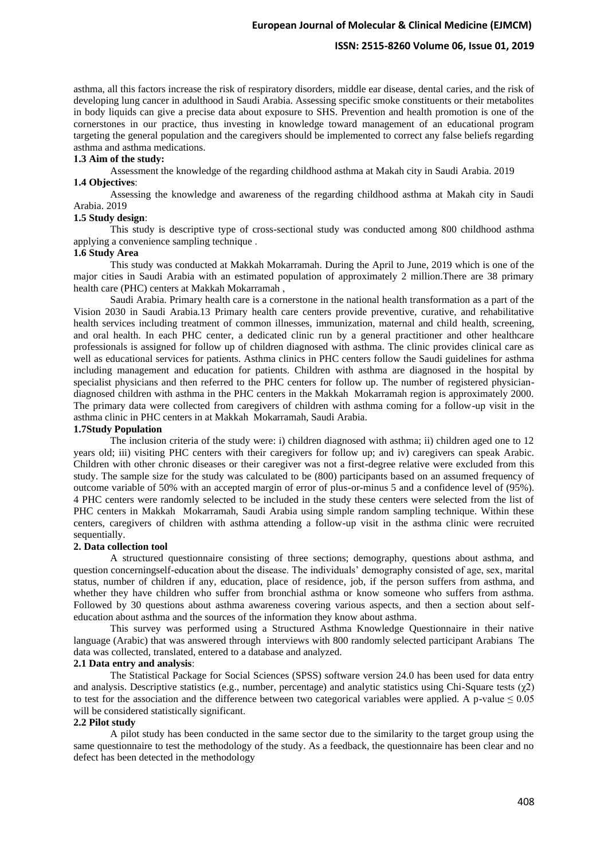#### **ISSN: 2515-8260 Volume 06, Issue 01, 2019**

asthma, all this factors increase the risk of respiratory disorders, middle ear disease, dental caries, and the risk of developing lung cancer in adulthood in Saudi Arabia. Assessing specific smoke constituents or their metabolites in body liquids can give a precise data about exposure to SHS. Prevention and health promotion is one of the cornerstones in our practice, thus investing in knowledge toward management of an educational program targeting the general population and the caregivers should be implemented to correct any false beliefs regarding asthma and asthma medications.

#### **1.3 Aim of the study :**

Assessment the knowledge of the regarding childhood asthma at Makah city in Saudi Arabia. 2019

# **1.4 Objectives**:

Assessing the knowledge and awareness of the regarding childhood asthma at Makah city in Saudi Arabia. 2019

## **1.5 Study design**:

This study is descriptive type of cross-sectional study was conducted among 800 childhood asthma applying a convenience sampling technique .

### **1.6 Study Area**

This study was conducted at Makkah Mokarramah. During the April to June, 2019 which is one of the major cities in Saudi Arabia with an estimated population of approximately 2 million.There are 38 primary health care (PHC) centers at Makkah Mokarramah ,

Saudi Arabia. Primary health care is a cornerstone in the national health transformation as a part of the Vision 2030 in Saudi Arabia.13 Primary health care centers provide preventive, curative, and rehabilitative health services including treatment of common illnesses, immunization, maternal and child health, screening, and oral health. In each PHC center, a dedicated clinic run by a general practitioner and other healthcare professionals is assigned for follow up of children diagnosed with asthma. The clinic provides clinical care as well as educational services for patients. Asthma clinics in PHC centers follow the Saudi guidelines for asthma including management and education for patients. Children with asthma are diagnosed in the hospital by specialist physicians and then referred to the PHC centers for follow up. The number of registered physiciandiagnosed children with asthma in the PHC centers in the Makkah Mokarramah region is approximately 2000. The primary data were collected from caregivers of children with asthma coming for a follow-up visit in the asthma clinic in PHC centers in at Makkah Mokarramah, Saudi Arabia.

### **1.7Study Population**

The inclusion criteria of the study were: i) children diagnosed with asthma; ii) children aged one to 12 years old; iii) visiting PHC centers with their caregivers for follow up; and iv) caregivers can speak Arabic. Children with other chronic diseases or their caregiver was not a first-degree relative were excluded from this study. The sample size for the study was calculated to be (800) participants based on an assumed frequency of outcome variable of 50% with an accepted margin of error of plus-or-minus 5 and a confidence level of (95%). 4 PHC centers were randomly selected to be included in the study these centers were selected from the list of PHC centers in Makkah Mokarramah, Saudi Arabia using simple random sampling technique. Within these centers, caregivers of children with asthma attending a follow-up visit in the asthma clinic were recruited sequentially.

#### **2. Data collection tool**

A structured questionnaire consisting of three sections; demography, questions about asthma, and question concerningself-education about the disease. The individuals' demography consisted of age, sex, marital status, number of children if any, education, place of residence, job, if the person suffers from asthma, and whether they have children who suffer from bronchial asthma or know someone who suffers from asthma. Followed by 30 questions about asthma awareness covering various aspects, and then a section about selfeducation about asthma and the sources of the information they know about asthma .

This survey was performed using a Structured Asthma Knowledge Questionnaire in their native language (Arabic) that was answered through interviews with 800 randomly selected participant Arabians The data was collected, translated, entered to a database and analyzed.

# **2.1 Data entry and analysis** :

The Statistical Package for Social Sciences (SPSS) software version 24.0 has been used for data entry and analysis. Descriptive statistics (e.g., number, percentage) and analytic statistics using Chi-Square tests  $(γ2)$ to test for the association and the difference between two categorical variables were applied. A p-value  $\leq 0.05$ will be considered statistically significant.

# **2.2 Pilot study**

A pilot study has been conducted in the same sector due to the similarity to the target group using the same questionnaire to test the methodology of the study. As a feedback, the questionnaire has been clear and no defect has been detected in the methodology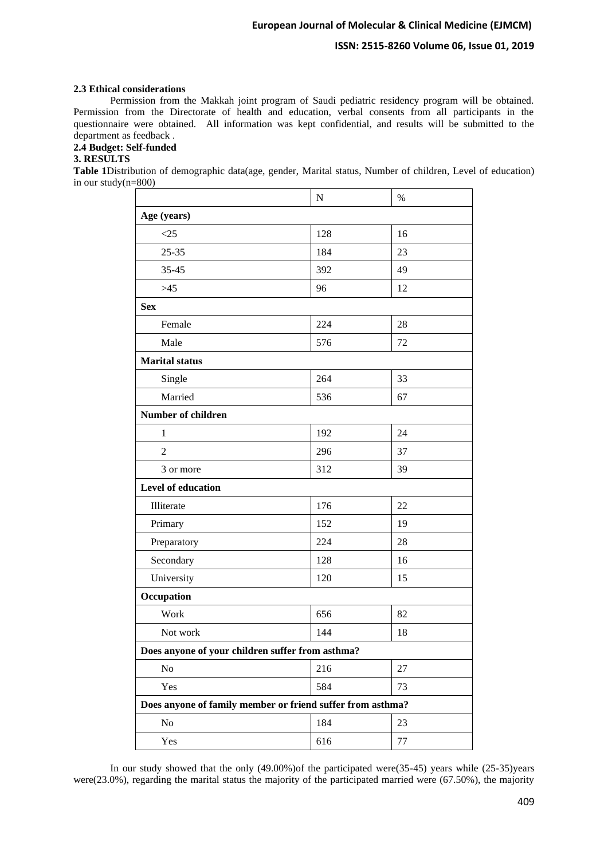# **ISSN: 2515-8260 Volume 06, Issue 01, 2019**

# **2.3 Ethical considerations**

Permission from the Makkah joint program of Saudi pediatric residency program will be obtained. Permission from the Directorate of health and education, verbal consents from all participants in the questionnaire were obtained. All information was kept confidential, and results will be submitted to the department as feedback .

# **2.4 Budget: Self-funded**

## **3. RESULTS**

**Table 1**Distribution of demographic data(age, gender, Marital status, Number of children, Level of education) in our study(n=800)

|                                                            | ${\bf N}$ | $\%$ |
|------------------------------------------------------------|-----------|------|
| Age (years)                                                |           |      |
| <25                                                        | 128       | 16   |
| $25 - 35$                                                  | 184       | 23   |
| 35-45                                                      | 392       | 49   |
| $>45$                                                      | 96        | 12   |
| <b>Sex</b>                                                 |           |      |
| Female                                                     | 224       | 28   |
| Male                                                       | 576       | 72   |
| <b>Marital</b> status                                      |           |      |
| Single                                                     | 264       | 33   |
| Married                                                    | 536       | 67   |
| <b>Number of children</b>                                  |           |      |
| 1                                                          | 192       | 24   |
| $\overline{2}$                                             | 296       | 37   |
| 3 or more                                                  | 312       | 39   |
| Level of education                                         |           |      |
| Illiterate                                                 | 176       | 22   |
| Primary                                                    | 152       | 19   |
| Preparatory                                                | 224       | 28   |
| Secondary                                                  | 128       | 16   |
| University                                                 | 120       | 15   |
| Occupation                                                 |           |      |
| Work                                                       | 656       | 82   |
| Not work                                                   | 144       | 18   |
| Does anyone of your children suffer from asthma?           |           |      |
| No                                                         | 216       | 27   |
| Yes                                                        | 584       | 73   |
| Does anyone of family member or friend suffer from asthma? |           |      |
| No                                                         | 184       | 23   |
| Yes                                                        | 616       | 77   |

In our study showed that the only (49.00%)of the participated were(35-45) years while (25-35)years were(23.0%), regarding the marital status the majority of the participated married were (67.50%), the majority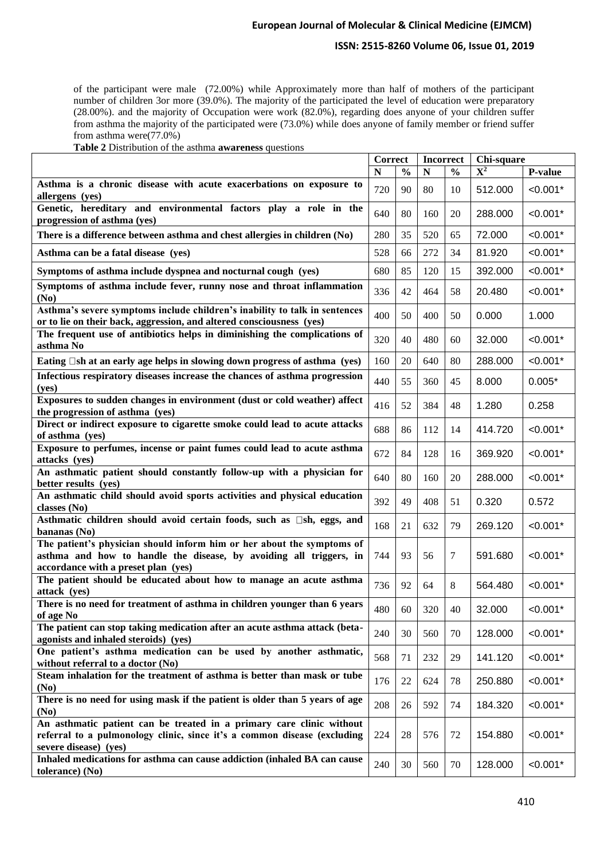# **ISSN: 2515-8260 Volume 06, Issue 01, 2019**

of the participant were male (72.00%) while Approximately more than half of mothers of the participant number of children 3or more (39.0%). The majority of the participated the level of education were preparatory (28.00%). and the majority of Occupation were work (82.0%), regarding does anyone of your children suffer from asthma the majority of the participated were (73.0%) while does anyone of family member or friend suffer from asthma were(77.0%)

| Table 2 Distribution of the asthma awareness questions |  |  |
|--------------------------------------------------------|--|--|
|                                                        |  |  |

|                                                                                                                                                    | Correct |               | <b>Incorrect</b> |               | Chi-square                |            |
|----------------------------------------------------------------------------------------------------------------------------------------------------|---------|---------------|------------------|---------------|---------------------------|------------|
|                                                                                                                                                    | N       | $\frac{0}{0}$ | N                | $\frac{0}{0}$ | $\overline{\mathbf{X}^2}$ | P-value    |
| Asthma is a chronic disease with acute exacerbations on exposure to<br>allergens (yes)                                                             | 720     | 90            | 80               | 10            | 512.000                   | $< 0.001*$ |
| Genetic, hereditary and environmental factors play a role in the<br>progression of asthma (yes)                                                    | 640     | 80            | 160              | 20            | 288.000                   | $< 0.001*$ |
| There is a difference between asthma and chest allergies in children (No)                                                                          | 280     | 35            | 520              | 65            | 72.000                    | $< 0.001*$ |
| Asthma can be a fatal disease (yes)                                                                                                                | 528     | 66            | 272              | 34            | 81.920                    | $< 0.001*$ |
| Symptoms of asthma include dyspnea and nocturnal cough (yes)                                                                                       | 680     | 85            | 120              | 15            | 392.000                   | $< 0.001*$ |
| Symptoms of asthma include fever, runny nose and throat inflammation<br>(No)                                                                       | 336     | 42            | 464              | 58            | 20.480                    | $< 0.001*$ |
| Asthma's severe symptoms include children's inability to talk in sentences<br>or to lie on their back, aggression, and altered consciousness (yes) | 400     | 50            | 400              | 50            | 0.000                     | 1.000      |
| The frequent use of antibiotics helps in diminishing the complications of<br>asthma No                                                             | 320     | 40            | 480              | 60            | 32.000                    | $< 0.001*$ |
| Eating $\square$ sh at an early age helps in slowing down progress of asthma (yes)                                                                 | 160     | 20            | 640              | 80            | 288.000                   | $< 0.001*$ |
| Infectious respiratory diseases increase the chances of asthma progression<br>(yes)                                                                | 440     | 55            | 360              | 45            | 8.000                     | $0.005*$   |
| Exposures to sudden changes in environment (dust or cold weather) affect<br>the progression of asthma (yes)                                        | 416     | 52            | 384              | 48            | 1.280                     | 0.258      |
| Direct or indirect exposure to cigarette smoke could lead to acute attacks<br>of asthma (yes)                                                      | 688     | 86            | 112              | 14            | 414.720                   | $< 0.001*$ |
| Exposure to perfumes, incense or paint fumes could lead to acute asthma<br>attacks (yes)                                                           | 672     | 84            | 128              | 16            | 369.920                   | $< 0.001*$ |
| An asthmatic patient should constantly follow-up with a physician for<br>better results (yes)                                                      | 640     | 80            | 160              | 20            | 288.000                   | $< 0.001*$ |
| An asthmatic child should avoid sports activities and physical education<br>classes (No)                                                           | 392     | 49            | 408              | 51            | 0.320                     | 0.572      |
| Asthmatic children should avoid certain foods, such as $\square$ sh, eggs, and<br>bananas (No)                                                     | 168     | 21            | 632              | 79            | 269.120                   | $< 0.001*$ |
| The patient's physician should inform him or her about the symptoms of<br>asthma and how to handle the disease, by avoiding all triggers, in       | 744     | 93            | 56               | 7             | 591.680                   | $< 0.001*$ |
| accordance with a preset plan (yes)                                                                                                                |         |               |                  |               |                           |            |
| The patient should be educated about how to manage an acute asthma<br>attack (yes)                                                                 | 736     | 92            | 64               | 8             | 564.480                   | $< 0.001*$ |
| There is no need for treatment of asthma in children younger than 6 years<br>of age No                                                             | 480     | 60            | 320              | 40            | 32.000                    | $< 0.001*$ |
| The patient can stop taking medication after an acute asthma attack (beta-<br>agonists and inhaled steroids) (yes)                                 | 240     | 30            | 560              | 70            | 128.000                   | $< 0.001*$ |
| One patient's asthma medication can be used by another asthmatic,<br>without referral to a doctor (No)                                             | 568     | 71            | 232              | 29            | 141.120                   | $< 0.001*$ |
| Steam inhalation for the treatment of asthma is better than mask or tube<br>(N <sub>0</sub> )                                                      | 176     | 22            | 624              | 78            | 250.880                   | $< 0.001*$ |
| There is no need for using mask if the patient is older than 5 years of age<br>(No)                                                                | 208     | 26            | 592              | 74            | 184.320                   | $< 0.001*$ |
| An asthmatic patient can be treated in a primary care clinic without                                                                               |         |               |                  |               |                           |            |
| referral to a pulmonology clinic, since it's a common disease (excluding<br>severe disease) (yes)                                                  | 224     | 28            | 576              | 72            | 154.880                   | $< 0.001*$ |
| Inhaled medications for asthma can cause addiction (inhaled BA can cause<br>tolerance) (No)                                                        | 240     | 30            | 560              | 70            | 128.000                   | $< 0.001*$ |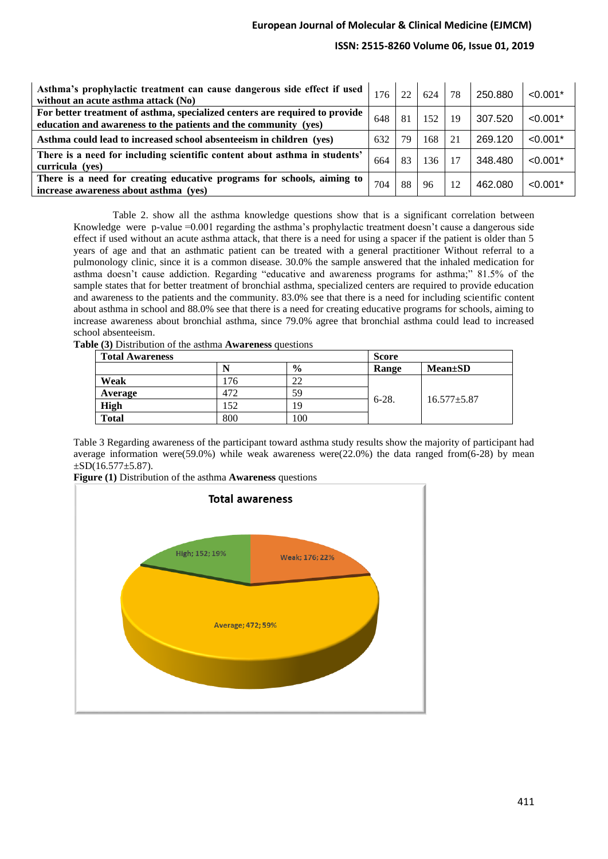# **ISSN: 2515-8260 Volume 06, Issue 01, 2019**

| Asthma's prophylactic treatment can cause dangerous side effect if used   176  <br>without an acute asthma attack (No)                         |     | 22 | 624 | 78 | 250.880 | $< 0.001*$ |
|------------------------------------------------------------------------------------------------------------------------------------------------|-----|----|-----|----|---------|------------|
| For better treatment of asthma, specialized centers are required to provide<br>education and awareness to the patients and the community (yes) | 648 | 81 | 152 | 19 | 307.520 | $< 0.001*$ |
| Asthma could lead to increased school absenteeism in children (yes)                                                                            | 632 | 79 | 168 | 21 | 269.120 | $< 0.001*$ |
| There is a need for including scientific content about asthma in students'<br>curricula (yes)                                                  | 664 | 83 | 136 | 17 | 348.480 | $< 0.001*$ |
| There is a need for creating educative programs for schools, aiming to<br>increase awareness about asthma (yes)                                | 704 | 88 | 96  | 12 | 462.080 | $< 0.001*$ |

Table 2. show all the asthma knowledge questions show that is a significant correlation between Knowledge were p-value =0.001 regarding the asthma's prophylactic treatment doesn't cause a dangerous side effect if used without an acute asthma attack, that there is a need for using a spacer if the patient is older than 5 years of age and that an asthmatic patient can be treated with a general practitioner Without referral to a pulmonology clinic, since it is a common disease. 30.0% the sample answered that the inhaled medication for asthma doesn't cause addiction. Regarding "educative and awareness programs for asthma;" 81.5% of the sample states that for better treatment of bronchial asthma, specialized centers are required to provide education and awareness to the patients and the community. 83.0% see that there is a need for including scientific content about asthma in school and 88.0% see that there is a need for creating educative programs for schools, aiming to increase awareness about bronchial asthma, since 79.0% agree that bronchial asthma could lead to increased school absenteeism.

**Table (3)** Distribution of the asthma **Awareness** questions

| <b>Total Awareness</b> |     |               | <b>Score</b> |                   |  |  |  |
|------------------------|-----|---------------|--------------|-------------------|--|--|--|
|                        |     | $\frac{0}{0}$ | Range        | $Mean \pm SD$     |  |  |  |
| Weak                   | 76  | 22            |              |                   |  |  |  |
| Average                | 472 | 59            |              |                   |  |  |  |
| <b>High</b>            | .52 | 19            | $6-28.$      | $16.577 \pm 5.87$ |  |  |  |
| <b>Total</b>           | 800 | 100           |              |                   |  |  |  |

Table 3 Regarding awareness of the participant toward asthma study results show the majority of participant had average information were(59.0%) while weak awareness were(22.0%) the data ranged from(6-28) by mean  $\pm$ SD(16.577 $\pm$ 5.87).

**Figure (1)** Distribution of the asthma **Awareness** questions

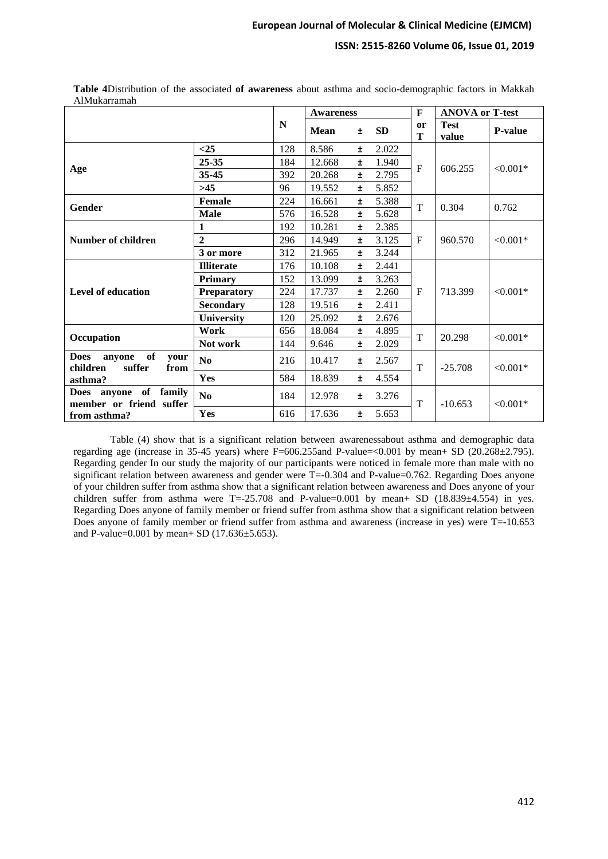# **ISSN: 2515-8260 Volume 06, Issue 01, 2019**

| Aliviunali aliiali                                                           |                        |     |                  |       |       |         |                        |                |
|------------------------------------------------------------------------------|------------------------|-----|------------------|-------|-------|---------|------------------------|----------------|
|                                                                              |                        |     | <b>Awareness</b> |       |       | F       | <b>ANOVA or T-test</b> |                |
|                                                                              |                        | N   | <b>Mean</b>      | Ŧ     | SD    | or<br>T | <b>Test</b><br>value   | <b>P-value</b> |
|                                                                              | $<$ 25                 | 128 | 8.586            | Ŧ     | 2.022 |         |                        | ${<}0.001*$    |
|                                                                              | 25-35                  | 184 | 12.668           | Ŧ     | 1.940 |         | 606.255                |                |
| Age                                                                          | 35-45                  | 392 | 20.268           | Ŧ     | 2.795 | F       |                        |                |
|                                                                              | >45                    | 96  | 19.552           | Ŧ     | 5.852 |         |                        |                |
| Gender                                                                       | Female                 | 224 | 16.661           | Ŧ     | 5.388 | T       | 0.304                  | 0.762          |
|                                                                              | <b>Male</b>            | 576 | 16.528           | Ŧ     | 5.628 |         |                        |                |
|                                                                              | 1                      | 192 | 10.281           | Ŧ     | 2.385 |         | 960.570                | $< 0.001*$     |
| Number of children                                                           | $\overline{2}$         | 296 | 14.949           | Ŧ     | 3.125 | F       |                        |                |
|                                                                              | 3 or more              | 312 | 21.965           | Ŧ     | 3.244 |         |                        |                |
|                                                                              | <b>Illiterate</b>      | 176 | 10.108           | Ŧ     | 2.441 |         | 713.399                | $< 0.001*$     |
|                                                                              | <b>Primary</b>         | 152 | 13.099           | Ŧ     | 3.263 |         |                        |                |
| Level of education                                                           | <b>Preparatory</b>     | 224 | 17.737           | Ŧ     | 2.260 | F       |                        |                |
|                                                                              | <b>Secondary</b>       | 128 | 19.516           | Ŧ     | 2.411 |         |                        |                |
|                                                                              | <b>University</b>      | 120 | 25.092           | Ŧ     | 2.676 |         |                        |                |
| Occupation                                                                   | Work                   | 656 | 18.084           | Ŧ     | 4.895 | T       | 20.298                 | $< 0.001*$     |
|                                                                              | Not work               | 144 | 9.646            | Ŧ     | 2.029 |         |                        |                |
| of<br><b>Does</b><br>anyone<br>your<br>suffer<br>children<br>from<br>asthma? | $\mathbf{N}\mathbf{0}$ | 216 | 10.417           | ±.    | 2.567 | T       | $-25.708$              | ${<}0.001*$    |
|                                                                              | Yes                    | 584 | 18.839           | $\pm$ | 4.554 |         |                        |                |
| of<br>family<br><b>Does</b><br>anyone<br>member or friend suffer             | N <sub>0</sub>         | 184 | 12.978           | ±.    | 3.276 | T       | $-10.653$              | $< 0.001*$     |
| from asthma?                                                                 | Yes                    | 616 | 17.636           | $\pm$ | 5.653 |         |                        |                |

**Table 4**Distribution of the associated **of awareness** about asthma and socio-demographic factors in Makkah AlMukampeh

Table (4) show that is a significant relation between awarenessabout asthma and demographic data regarding age (increase in 35-45 years) where F=606.255and P-value=<0.001 by mean+ SD (20.268±2.795). Regarding gender In our study the majority of our participants were noticed in female more than male with no significant relation between awareness and gender were  $T = -0.304$  and P-value=0.762. Regarding Does anyone of your children suffer from asthma show that a significant relation between awareness and Does anyone of your children suffer from asthma were  $T = -25.708$  and P-value=0.001 by mean+ SD (18.839 $\pm$ 4.554) in yes. Regarding Does anyone of family member or friend suffer from asthma show that a significant relation between Does anyone of family member or friend suffer from asthma and awareness (increase in yes) were T=-10.653 and P-value=0.001 by mean+ SD (17.636 $\pm$ 5.653).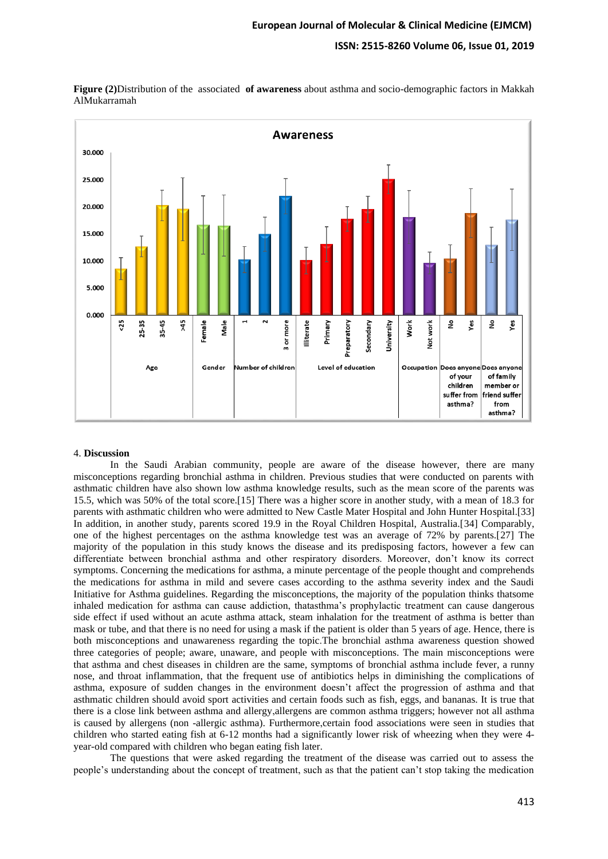## **ISSN: 2515-8260 Volume 06, Issue 01, 2019**



**Figure (2)**Distribution of the associated **of awareness** about asthma and socio-demographic factors in Makkah AlMukarramah

#### 4. **Discussion**

In the Saudi Arabian community, people are aware of the disease however, there are many misconceptions regarding bronchial asthma in children. Previous studies that were conducted on parents with asthmatic children have also shown low asthma knowledge results, such as the mean score of the parents was 15.5, which was 50% of the total score.[15] There was a higher score in another study, with a mean of 18.3 for parents with asthmatic children who were admitted to New Castle Mater Hospital and John Hunter Hospital.[33] In addition, in another study, parents scored 19.9 in the Royal Children Hospital, Australia.[34] Comparably, one of the highest percentages on the asthma knowledge test was an average of 72% by parents.[27] The majority of the population in this study knows the disease and its predisposing factors, however a few can differentiate between bronchial asthma and other respiratory disorders. Moreover, don't know its correct symptoms. Concerning the medications for asthma, a minute percentage of the people thought and comprehends the medications for asthma in mild and severe cases according to the asthma severity index and the Saudi Initiative for Asthma guidelines. Regarding the misconceptions, the majority of the population thinks thatsome inhaled medication for asthma can cause addiction, thatasthma's prophylactic treatment can cause dangerous side effect if used without an acute asthma attack, steam inhalation for the treatment of asthma is better than mask or tube, and that there is no need for using a mask if the patient is older than 5 years of age. Hence, there is both misconceptions and unawareness regarding the topic .The bronchial asthma awareness question showed three categories of people; aware, unaware, and people with misconceptions. The main misconceptions were that asthma and chest diseases in children are the same, symptoms of bronchial asthma include fever, a runny nose, and throat inflammation, that the frequent use of antibiotics helps in diminishing the complications of asthma, exposure of sudden changes in the environment doesn't affect the progression of asthma and that asthmatic children should avoid sport activities and certain foods such as fish, eggs, and bananas. It is true that there is a close link between asthma and allergy,allergens are common asthma triggers; however not all asthma is caused by allergens (non -allergic asthma). Furthermore,certain food associations were seen in studies that children who started eating fish at 6-12 months had a significantly lower risk of wheezing when they were 4 year-old compared with children who began eating fish later.

The questions that were asked regarding the treatment of the disease was carried out to assess the people's understanding about the concept of treatment, such as that the patient can't stop taking the medication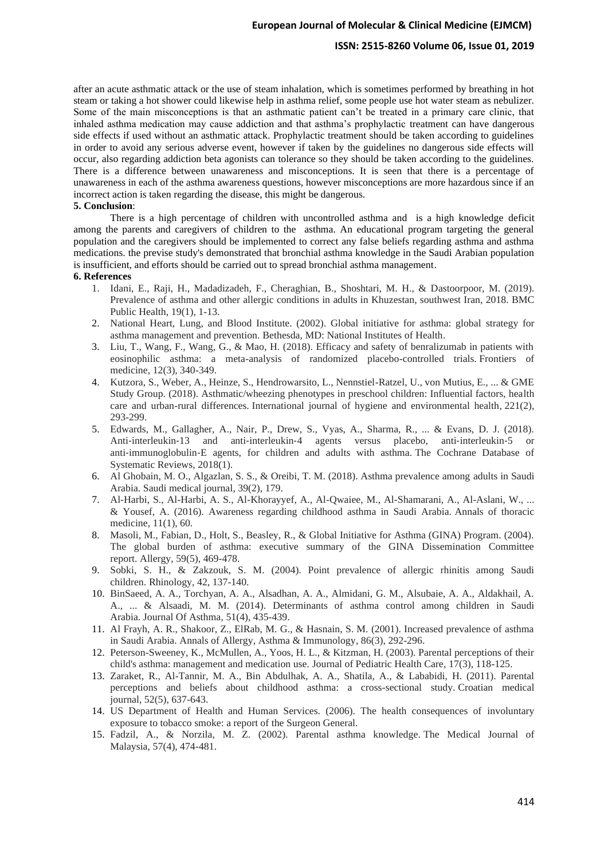## **ISSN: 2515-8260 Volume 06, Issue 01, 2019**

after an acute asthmatic attack or the use of steam inhalation, which is sometimes performed by breathing in hot steam or taking a hot shower could likewise help in asthma relief, some people use hot water steam as nebulizer. Some of the main misconceptions is that an asthmatic patient can't be treated in a primary care clinic, that inhaled asthma medication may cause addiction and that asthma's prophylactic treatment can have dangerous side effects if used without an asthmatic attack. Prophylactic treatment should be taken according to guidelines in order to avoid any serious adverse event, however if taken by the guidelines no dangerous side effects will occur, also regarding addiction beta agonists can tolerance so they should be taken according to the guidelines. There is a difference between unawareness and misconceptions. It is seen that there is a percentage of unawareness in each of the asthma awareness questions, however misconceptions are more hazardous since if an incorrect action is taken regarding the disease, this might be dangerous.

### **5. Conclusion**:

There is a high percentage of children with uncontrolled asthma and is a high knowledge deficit among the parents and caregivers of children to the asthma. An educational program targeting the general population and the caregivers should be implemented to correct any false beliefs regarding asthma and asthma medications. the previse study's demonstrated that bronchial asthma knowledge in the Saudi Arabian population is insufficient, and efforts should be carried out to spread bronchial asthma management.

#### **6. References**

- 1. Idani, E., Raji, H., Madadizadeh, F., Cheraghian, B., Shoshtari, M. H., & Dastoorpoor, M. (2019). Prevalence of asthma and other allergic conditions in adults in Khuzestan, southwest Iran, 2018. BMC Public Health, 19(1), 1-13.
- 2. National Heart, Lung, and Blood Institute. (2002). Global initiative for asthma: global strategy for asthma management and prevention. Bethesda, MD: National Institutes of Health.
- 3. Liu, T., Wang, F., Wang, G., & Mao, H. (2018). Efficacy and safety of benralizumab in patients with eosinophilic asthma: a meta-analysis of randomized placebo-controlled trials. Frontiers of medicine, 12(3), 340-349.
- 4. Kutzora, S., Weber, A., Heinze, S., Hendrowarsito, L., Nennstiel-Ratzel, U., von Mutius, E., ... & GME Study Group. (2018). Asthmatic/wheezing phenotypes in preschool children: Influential factors, health care and urban-rural differences. International journal of hygiene and environmental health, 221(2), 293-299.
- 5. Edwards, M., Gallagher, A., Nair, P., Drew, S., Vyas, A., Sharma, R., ... & Evans, D. J. (2018). Anti-interleukin-13 and anti-interleukin-4 agents versus placebo, anti-interleukin-5 or anti‐immunoglobulin‐E agents, for children and adults with asthma. The Cochrane Database of Systematic Reviews, 2018(1).
- 6. Al Ghobain, M. O., Algazlan, S. S., & Oreibi, T. M. (2018). Asthma prevalence among adults in Saudi Arabia. Saudi medical journal, 39(2), 179.
- 7. Al-Harbi, S., Al-Harbi, A. S., Al-Khorayyef, A., Al-Qwaiee, M., Al-Shamarani, A., Al-Aslani, W., ... & Yousef, A. (2016). Awareness regarding childhood asthma in Saudi Arabia. Annals of thoracic medicine, 11(1), 60.
- 8. Masoli, M., Fabian, D., Holt, S., Beasley, R., & Global Initiative for Asthma (GINA) Program. (2004). The global burden of asthma: executive summary of the GINA Dissemination Committee report. Allergy, 59(5), 469-478.
- 9. Sobki, S. H., & Zakzouk, S. M. (2004). Point prevalence of allergic rhinitis among Saudi children. Rhinology, 42, 137-140.
- 10. BinSaeed, A. A., Torchyan, A. A., Alsadhan, A. A., Almidani, G. M., Alsubaie, A. A., Aldakhail, A. A., ... & Alsaadi, M. M. (2014). Determinants of asthma control among children in Saudi Arabia. Journal Of Asthma, 51(4), 435-439.
- 11. Al Frayh, A. R., Shakoor, Z., ElRab, M. G., & Hasnain, S. M. (2001). Increased prevalence of asthma in Saudi Arabia. Annals of Allergy, Asthma & Immunology, 86(3), 292-296.
- 12. Peterson-Sweeney, K., McMullen, A., Yoos, H. L., & Kitzman, H. (2003). Parental perceptions of their child's asthma: management and medication use. Journal of Pediatric Health Care, 17(3), 118-125.
- 13. Zaraket, R., Al-Tannir, M. A., Bin Abdulhak, A. A., Shatila, A., & Lababidi, H. (2011). Parental perceptions and beliefs about childhood asthma: a cross-sectional study. Croatian medical journal, 52(5), 637-643.
- 14. US Department of Health and Human Services. (2006). The health consequences of involuntary exposure to tobacco smoke: a report of the Surgeon General.
- 15. Fadzil, A., & Norzila, M. Z. (2002). Parental asthma knowledge. The Medical Journal of Malaysia, 57(4), 474-481.